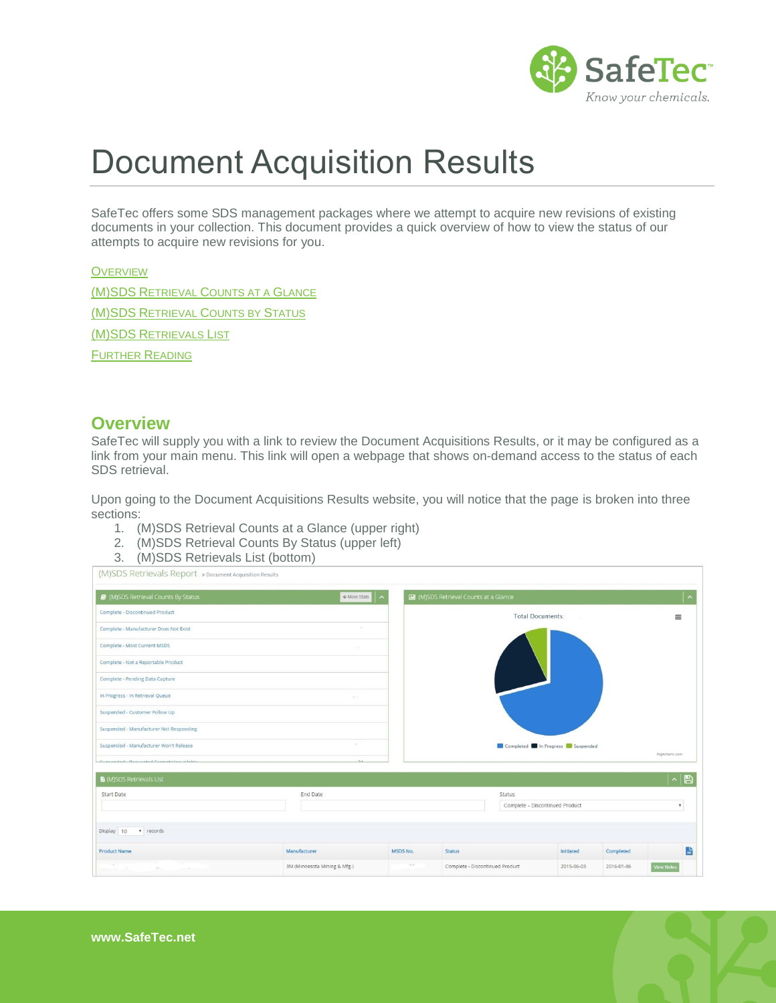

# Document Acquisition Results

SafeTec offers some SDS management packages where we attempt to acquire new revisions of existing documents in your collection. This document provides a quick overview of how to view the status of our attempts to acquire new revisions for you.

# **O[VERVIEW](#page-0-0)**

(M)SDS RETRIEVAL C[OUNTS AT A](#page-1-0) GLANCE [\(M\)SDS](#page-1-1) RETRIEVAL COUNTS BY STATUS (M)SDS R[ETRIEVALS](#page-1-2) LIST F[URTHER](#page-1-3) READING

#### <span id="page-0-0"></span>**Overview**

SafeTec will supply you with a link to review the Document Acquisitions Results, or it may be configured as a link from your main menu. This link will open a webpage that shows on-demand access to the status of each SDS retrieval.

Upon going to the Document Acquisitions Results website, you will notice that the page is broken into three sections:

- 1. (M)SDS Retrieval Counts at a Glance (upper right)
- 2. (M)SDS Retrieval Counts By Status (upper left)
- 3. (M)SDS Retrievals List (bottom)

| (M)SDS Retrievals Report » Document Acquisition Results |                              |            |                                        |               |            |                    |
|---------------------------------------------------------|------------------------------|------------|----------------------------------------|---------------|------------|--------------------|
| (M)SDS Retrieval Counts By Status                       | $W$ More Stats<br>∣ ∼        |            | MI (M)SDS Retrieval Counts at a Glance |               |            |                    |
| Complete - Discontinued Product                         |                              |            | Total Documents:                       |               |            | $\equiv$           |
| Complete - Manufacturer Does Not Exist                  |                              |            |                                        |               |            |                    |
| Complete - Most Current MSDS                            |                              |            |                                        |               |            |                    |
| Complete - Not a Reportable Product                     |                              |            |                                        |               |            |                    |
| Complete - Pending Data Capture                         |                              |            |                                        |               |            |                    |
| In Progress - In Retrieval Queue                        |                              |            |                                        |               |            |                    |
| Suspended - Customer Follow Up                          |                              |            |                                        |               |            |                    |
| Suspended - Manufacturer Not Responding                 |                              |            |                                        |               |            |                    |
| Suspended - Manufacturer Won't Release                  | -                            |            | Completed In Progress Suspended        |               |            | Highcharts.com     |
| Cornealed Bestecked Corneal House Hobbs                 |                              |            |                                        |               |            |                    |
| ■ (M)SDS Retrievals List                                |                              |            |                                        |               |            | $\sim$ B           |
| Start Date                                              | End Date                     |            |                                        | <b>Status</b> |            |                    |
|                                                         |                              |            | Complete - Discontinued Product        |               |            | $\pmb{\mathrm{v}}$ |
| Display 10<br>v records                                 |                              |            |                                        |               |            |                    |
| <b>Product Name</b>                                     | Manufacturer                 | MSDS No.   | <b>Status</b>                          | Initiated     | Completed  | 昏                  |
|                                                         | 3M (Minnesota Mining & Mfg.) | $\sim$ $-$ | Complete - Discontinued Product        | 2015-06-03    | 2016-01-06 | <b>View Notes</b>  |